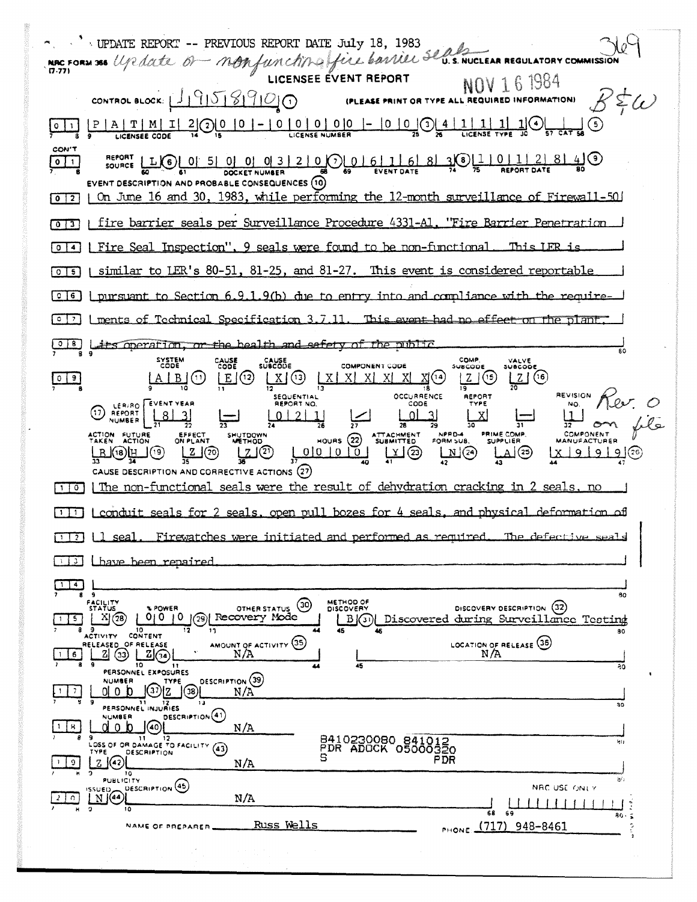MAC FORM 368 UP date Of MORfunction qui du 10, 1983  $\sim$   $\sim$   $\sim$  UPDATE REPORT -- PREVIOUS REPORT DATE July 18, 1983  $R \not\leq \omega$ CONTROL BLOCK: 19958900 (PLEASE PRINT OR TYPE ALL REQUIRED INFORMATION)  $\underbrace{ \begin{bmatrix} 0 & 1 \\ 1 & 2 \end{bmatrix}}_{\text{LCENSE}} \underbrace{ \begin{bmatrix} 0 & 1 \\ 0 & 2 \end{bmatrix}}_{\text{LICENSE}} \underbrace{ \begin{bmatrix} 0 & 0 \\ 0 & 0 \end{bmatrix}}_{\text{LICENSE}} - \underbrace{ \begin{bmatrix} 0 & 0 \\ 0 & 0 \end{bmatrix}}_{\text{LICENSE}} \underbrace{ \begin{bmatrix} 0 & 0 \\ 0 & 0 \end{bmatrix}}_{\text{LICENSE}} \underbrace{ \begin{bmatrix} 0 & 1 \\ 0 & 0 \end{bmatrix}}_{\text{LICENSE}}$ CON'T REPORT LLCCC 01 5 01 01 01 3 2 1 0 0 0 0 6 1 6 8 3 0 1 0 1 0 1 2 8 4 9  $\sqrt{1}$ EVENT DESCRIPTION AND PROBABLE CONSEQUENCES (10) [0][2] | On June 16 and 30, 1983, while performing the 12-month surveillance of Firewall-50 [0] [3] | fire barrier seals per Surveillance Procedure 4331-A1, "Fire Barrier Penetration [0]4] [Fire Seal Inspection", 9 seals were found to be non-functional This LER is [0][6] I similar to LER's 80-51, 81-25, and 81-27. This event is considered reportable  $\boxed{0}$  [6] | pursuant to Section 6.9.1.9(b) due to entry into and compliance with the require- $\lceil \circ \rceil$  | ments of Technical Specification 3.7.11. This event had no effect on the plant CID Lits operation, or the bealth and safety of the public COMP VALVE<br>SUBCODE SYSTEM<br>CODE CAUSE<br>CODE CAUSE<br>SUBCODE **COMPONENT CODE SUI**  $E(3)$  $|Z|$ (15)  $\lfloor 2 \rfloor$  (16)  $A \mid B \mid (1)$  $|0|9|$ REVISION OCCURRENCE SEQUENTIAL<br>REPORT NO. REPORT (1) REPORT EVENT VEAR CODE NO.  $0|2|$  $01$ HOURS (22) ATTACHMENT NPPD4 PRIME COMP. COMPONENT ACTION FUTURE SHUTDOWN<br>METHOD EFFECT<br>ON PLANT **MANUFACTURER**  $\frac{1}{2}$   $\frac{1}{2}$   $\frac{1}{2}$   $\frac{1}{2}$   $\frac{1}{2}$   $\frac{1}{2}$   $\frac{1}{2}$   $\frac{1}{2}$   $\frac{1}{2}$   $\frac{1}{2}$   $\frac{1}{2}$   $\frac{1}{2}$   $\frac{1}{2}$   $\frac{1}{2}$   $\frac{1}{2}$   $\frac{1}{2}$   $\frac{1}{2}$   $\frac{1}{2}$   $\frac{1}{2}$   $\frac{1}{2}$   $\frac{1}{2}$   $\frac{1}{2}$   $x 19 19 19$ ௶௶௵௶  $\frac{2}{35}$  (20) பூதி الملط CAUSE DESCRIPTION AND CORRECTIVE ACTIONS (27)  $\lceil \cdot \rceil$  a) The non-functional seals were the result of dehydration cracking in 2 seals, no  $[T]$  | conduit seals for 2 seals, open pull bozes for 4 seals, and physical deformation of [17] [1 seal. Firewatches were initiated and performed as required. The defective seals 113 Lhave been repaired  $\Box$  4  $\Box$  $80<sub>0</sub>$ FACILITY<br>STATUS METHOD OF<br>DISCOVERY OTHER STATUS (30) DISCOVERY DESCRIPTION (32) % POWER  $X(3)$   $0(0)$   $0$   $(3)$  Recovery Mode [B](3) Discovered during Surveillance Testing  $\boxed{5}$ 9 10<br>ACTIVITY CONTENT 80 AMOUNT OF ACTIVITY 35 LOCATION OF RELEASE (36) RELEASED OF RELEASE 2 3 2 3 NA ۹Ō NUMBER<br>0 0 0 0 0 2 38 DESCRIPTION (39)  $\overline{7}$  $0<sub>1</sub>$  of  $0<sub>2</sub>$  $N/A$ PERSONNEL INJURIES DESCRIPTION<sup>(41)</sup> **NUMBER** ၂⊚ု dob  $1 \mid 8$ VE DESCRIPTION  $N/A$ 8410230080 841012<br>PDR ADOCK 05000320 **PDR**  $N/A$  $\frac{1}{10}$ DESCRIPTION (45) NAC USE ONLY  $\mathbb{E}^{\text{ISUED}}_{\text{M}}$  $N/A$ <u>. LE LE LE LE LE LE L</u> Russ Wells PHONE (717) 948-8461 NAME OF PREPARER-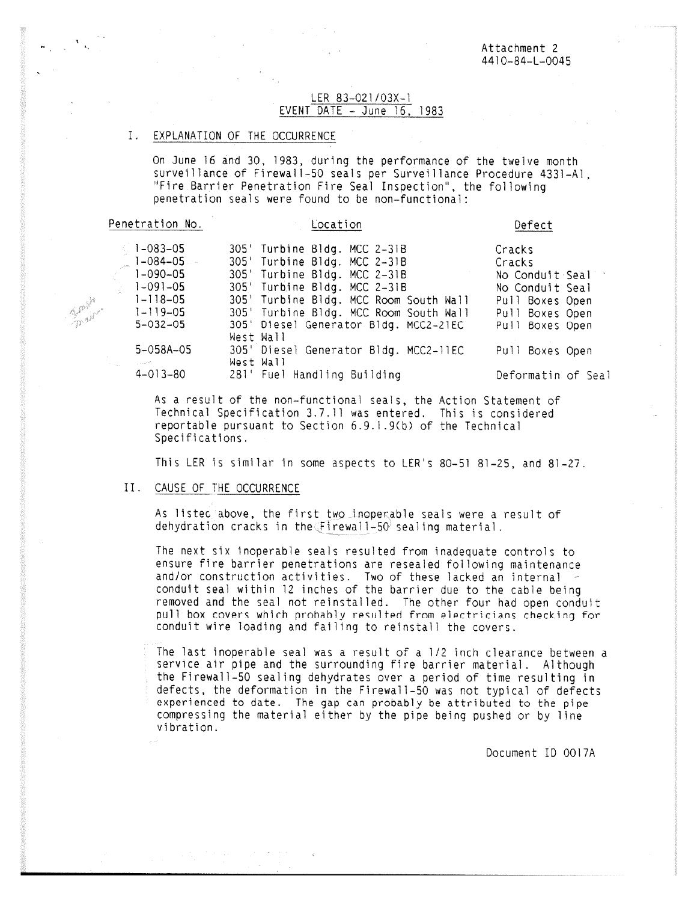### LER 83-021/03X-1 EVENT DATE - June 16, 1983

#### $I_{\star}$ EXPLANATION OF THE OCCURRENCE

On June 16 and 30, 1983, during the performance of the twelve month surveillance of Firewall-50 seals per Surveillance Procedure 4331-Al, "Fire. Barrier Penetration Fire Seal Inspection", the following penetration seals were found to be non-functional:

| Penetration No.        | Location                               | Defect             |  |  |
|------------------------|----------------------------------------|--------------------|--|--|
| $1 - 083 - 05$         | 305' Turbine Bldg. MCC 2-31B           | Cracks             |  |  |
| $1-084-05$             | 305' Turbine Bldg. MCC 2-31B           | Cracks             |  |  |
| $1 - 090 - 05$         | 305' Turbine Bldg. MCC 2-31B           | No Conduit Seal    |  |  |
| $\frac{1}{2}$ 1-091-05 | 305' Turbine Bldg. MCC 2-31B           | No Conduit Seal    |  |  |
| $1 - 118 - 05$         | 305' Turbine Bldg. MCC Room South Wall | Pull Boxes Open    |  |  |
| $1 - 119 - 05$         | 305' Turbine Bldg. MCC Room South Wall | Pull Boxes Open    |  |  |
| $5 - 032 - 05$         | 305' Diesel Generator Bldg. MCC2-21EC  | Pull Boxes Open    |  |  |
|                        | West Wall                              |                    |  |  |
| $5 - 058A - 05$        | 305' Diesel Generator Bldg. MCC2-11EC  | Pull Boxes Open    |  |  |
| e alla<br>المستورين    | West Wall                              |                    |  |  |
| $4 - 013 - 80$         | 281' Fuel Handling Building            | Deformatin of Seal |  |  |
|                        |                                        |                    |  |  |

As a result of the non-functional seals, the Action Statement of Technical Specification 3.7.11 was entered. This is considered re portable pursuant to Section 6.9.1.9(b) of the Technical Specifications.

This LER is similar in some aspects to LER's 80-51 81-25, and 81-27.

#### II. CAUSE OF THE OCCURRENCE

**Bally** t <sup>for</sup>in

> As listec above, the first two inoperable seals were a result of dehydration cracks in the  $\sqrt{F}$ irewall-50<sup> $\theta$ </sup> sealing material.

The next six inoperable seals resulted from inadequate controls to ensure fire barrier penetrations are resealed following maintenance and/or construction activities. Two of these lacked an internal conduit seal within 12 inches of the barrier due to the cable being removed and the seal not reinstalled. The other four had open conduit pull box covers which probably resulted from electricians checking for conduit wire loading and failing to reinstall the covers.

The last inoperable seal was a result of a 1/2 inch clearance between a service air pipe and the surrounding fire barrier material. Although the Firewall-50 sealing dehydrates over a period of time resulting in defects, the deformation in the Firewall-50 was not typical of defects experienced to date. The gap can probably be attributed to the pipe compressing the material either by the pipe being pushed or by line vibration.

Document ID 0017A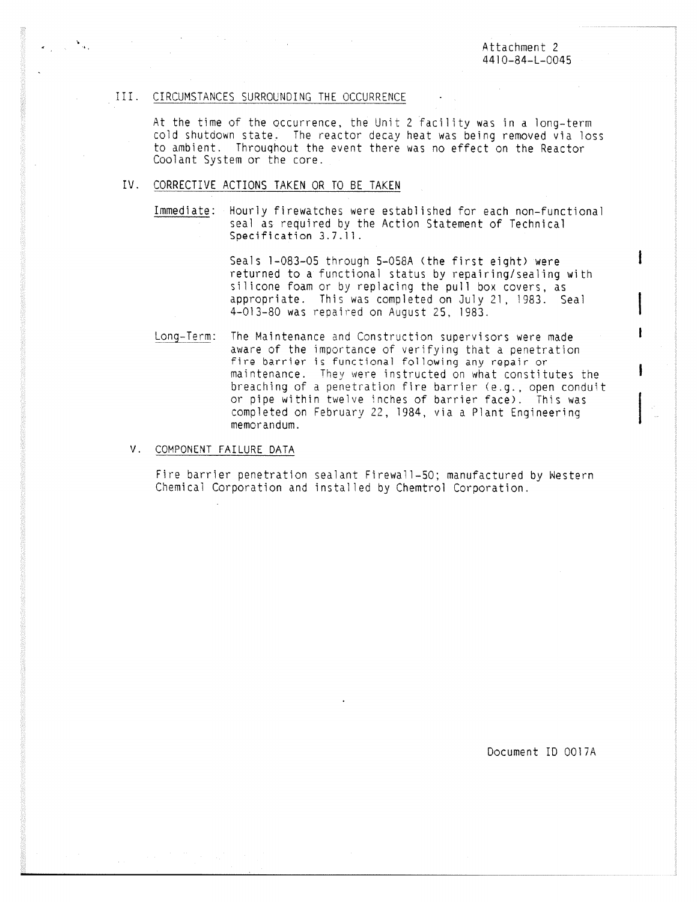Attachment 2 4410-84-L-0045

ł

#### III. CIRCUMSTANCES SURROUNDING THE OCCURRENCE

 $\mathcal{O}(\mathcal{O}_\mathcal{O})$  , and  $\mathcal{O}(\mathcal{O}_\mathcal{O})$  , and  $\mathcal{O}(\mathcal{O}_\mathcal{O})$ 

At the time of the occurrence, the Unit 2 facility was in a long-term cold shutdown state. The reactor decay heat was being removed via loss to ambient. Throughout the event there was no effect on the Reactor Coolant System or the core.

## IV. CORRECTIVE ACTIONS TAKEN OR TO BE TAKEN

Immediate: Hourly firewatches were established for each non-functional seal as required by the Action Statement of Technical Specification 3.7.11.

> Seals 1-083-05 through 5-058A (the first eight) were returned to a functional status by repairing/sealing with silicone foam or by replacing the pull box covers, as appropriate. This was completed on July 21, 1983. Seal 4-013-80 was repaired on August 25, 1983.

Long-Term: The Maintenance and Construction supervisors were made aware of the importance of verifying that a penetration fire barrier is functional following any repair or maintenance. They were instructed on what constitutes the breaching of a penetration fire barrier (e.g., open conduit or pipe within twelve inches of barrier face). This was completed on February 22, 1984, via a Plant Engineering memorandum.

#### V. COMPONENT FAILURE DATA

Fire barrier penetration sealant Firewall-50; manufactured by Western Chemical Corporation and installed by Chemtrol Corporation.

Document ID 0017A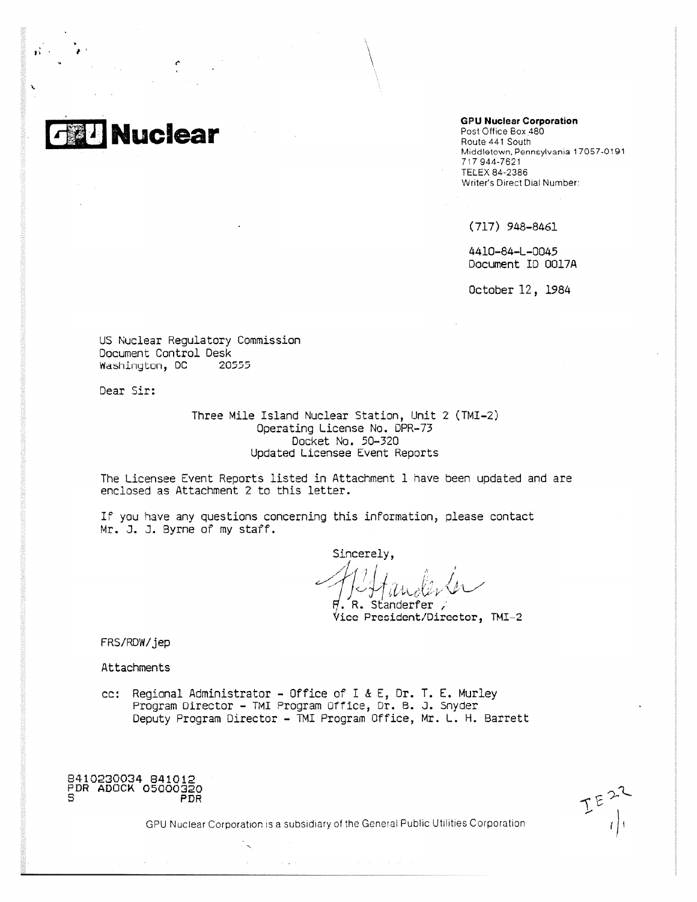**Nuclear** 

**GPU Nuclear Corporation**

Post Office Box 480 Route 441 South Middletown, Pennsylvania 17057 -0191 717 944-7621 TELEX 84-2386 Writer's Direct Dial Number:

(717) 948-8461

4410-84-L-0045 Document ID 0017A

October 12, 1984

US Nuclear Regulatory Commission Document Control Desk Washinyton, DC 20555

Dear Sir:

Three Mile Island Nuclear Station, Unit 2 (TMI-2) Operating License No. DPR-73 Docket No. 50-320 Updated Licensee Event Reports

The Licensee Event Reports listed in Attachment 1 have been updated and are enclosed as Attachment 2 to this letter.

If you have any questions concerning this information, please contact Mr. J. J. Byrne of my staff.

Sincerely,  $^{\prime}$ . <code>R. Standerfer</code> ,

Vice President/Director, TMI-2

FRS/ROW/jed

Attachments

cc: Regional Administrator - Office of I & E, Dr. T. E. Hurley Program Director - TMI Program Office, Dr. B. J. Snyder Deputy Program Director - TMI Program Office, Mr. L. H. Barrett

8410230034 841012 PDR ADOCK 05000320 PDR

GPU Nuclear Corporation is a subsidiary of the General Public Utilities Corporation